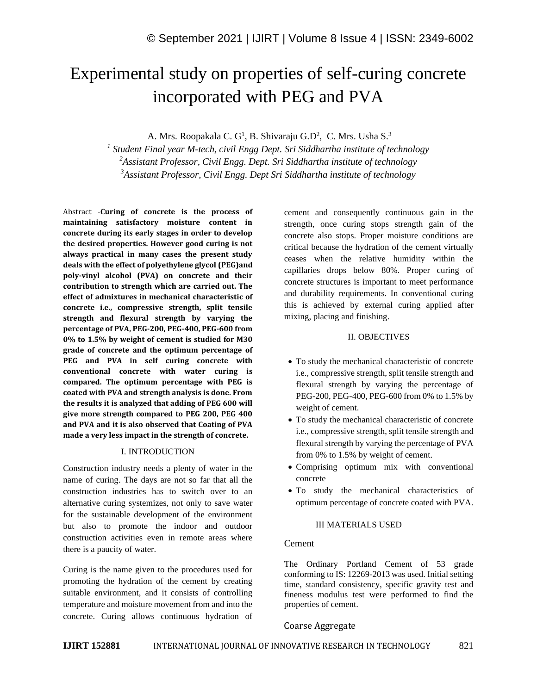# Experimental study on properties of self-curing concrete incorporated with PEG and PVA

A. Mrs. Roopakala C. G<sup>1</sup>, B. Shivaraju G.D<sup>2</sup>, C. Mrs. Usha S.<sup>3</sup>

*1 Student Final year M-tech, civil Engg Dept. Sri Siddhartha institute of technology <sup>2</sup>Assistant Professor, Civil Engg. Dept. Sri Siddhartha institute of technology <sup>3</sup>Assistant Professor, Civil Engg. Dept Sri Siddhartha institute of technology*

Abstract -**Curing of concrete is the process of maintaining satisfactory moisture content in concrete during its early stages in order to develop the desired properties. However good curing is not always practical in many cases the present study deals with the effect of polyethylene glycol (PEG)and poly-vinyl alcohol (PVA) on concrete and their contribution to strength which are carried out. The effect of admixtures in mechanical characteristic of concrete i.e., compressive strength, split tensile strength and flexural strength by varying the percentage of PVA, PEG-200, PEG-400, PEG-600 from 0% to 1.5% by weight of cement is studied for M30 grade of concrete and the optimum percentage of PEG and PVA in self curing concrete with conventional concrete with water curing is compared. The optimum percentage with PEG is coated with PVA and strength analysis is done. From the results it is analyzed that adding of PEG 600 will give more strength compared to PEG 200, PEG 400 and PVA and it is also observed that Coating of PVA made a very less impact in the strength of concrete.**

#### I. INTRODUCTION

Construction industry needs a plenty of water in the name of curing. The days are not so far that all the construction industries has to switch over to an alternative curing systemizes, not only to save water for the sustainable development of the environment but also to promote the indoor and outdoor construction activities even in remote areas where there is a paucity of water.

Curing is the name given to the procedures used for promoting the hydration of the cement by creating suitable environment, and it consists of controlling temperature and moisture movement from and into the concrete. Curing allows continuous hydration of cement and consequently continuous gain in the strength, once curing stops strength gain of the concrete also stops. Proper moisture conditions are critical because the hydration of the cement virtually ceases when the relative humidity within the capillaries drops below 80%. Proper curing of concrete structures is important to meet performance and durability requirements. In conventional curing this is achieved by external curing applied after mixing, placing and finishing.

#### II. OBJECTIVES

- To study the mechanical characteristic of concrete i.e., compressive strength, split tensile strength and flexural strength by varying the percentage of PEG-200, PEG-400, PEG-600 from 0% to 1.5% by weight of cement.
- To study the mechanical characteristic of concrete i.e., compressive strength, split tensile strength and flexural strength by varying the percentage of PVA from 0% to 1.5% by weight of cement.
- Comprising optimum mix with conventional concrete
- To study the mechanical characteristics of optimum percentage of concrete coated with PVA.

#### III MATERIALS USED

#### Cement

The Ordinary Portland Cement of 53 grade conforming to IS: 12269-2013 was used. Initial setting time, standard consistency, specific gravity test and fineness modulus test were performed to find the properties of cement.

#### Coarse Aggregate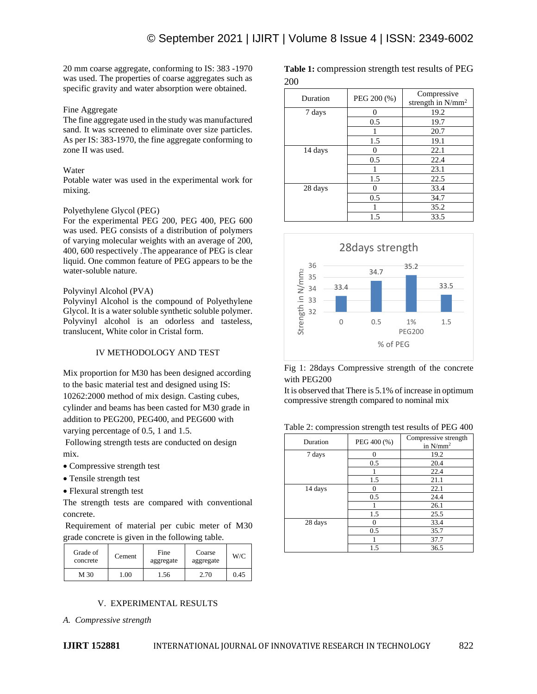20 mm coarse aggregate, conforming to IS: 383 -1970 was used. The properties of coarse aggregates such as specific gravity and water absorption were obtained.

#### Fine Aggregate

The fine aggregate used in the study was manufactured sand. It was screened to eliminate over size particles. As per IS: 383-1970, the fine aggregate conforming to zone II was used.

#### **Water**

Potable water was used in the experimental work for mixing.

#### Polyethylene Glycol (PEG)

For the experimental PEG 200, PEG 400, PEG 600 was used. PEG consists of a distribution of polymers of varying molecular weights with an average of 200, 400, 600 respectively .The appearance of PEG is clear liquid. One common feature of PEG appears to be the water-soluble nature.

#### Polyvinyl Alcohol (PVA)

Polyvinyl Alcohol is the compound of Polyethylene Glycol. It is a water soluble synthetic soluble polymer. Polyvinyl alcohol is an odorless and tasteless, translucent, White color in Cristal form.

## IV METHODOLOGY AND TEST

Mix proportion for M30 has been designed according to the basic material test and designed using IS: 10262:2000 method of mix design. Casting cubes, cylinder and beams has been casted for M30 grade in addition to PEG200, PEG400, and PEG600 with varying percentage of 0.5, 1 and 1.5.

Following strength tests are conducted on design mix.

- Compressive strength test
- Tensile strength test
- Flexural strength test

The strength tests are compared with conventional concrete.

Requirement of material per cubic meter of M30 grade concrete is given in the following table.

| Grade of<br>concrete | Cement | Fine<br>aggregate | Coarse<br>aggregate | W/C  |
|----------------------|--------|-------------------|---------------------|------|
| M 30                 | .00.   | 1.56              | 2.70                | 0.45 |

#### V. EXPERIMENTAL RESULTS

*A. Compressive strength*

| Duration | PEG 200 (%) | Compressive<br>strength in N/mm <sup>2</sup> |
|----------|-------------|----------------------------------------------|
| 7 days   | 0           | 19.2                                         |
|          | 0.5         | 19.7                                         |
|          |             | 20.7                                         |
|          | 1.5         | 19.1                                         |
| 14 days  |             | 22.1                                         |
|          | 0.5         | 22.4                                         |
|          |             | 23.1                                         |
|          | 1.5         | 22.5                                         |
| 28 days  | 0           | 33.4                                         |
|          | 0.5         | 34.7                                         |
|          |             | 35.2                                         |
|          | 1.5         | 33.5                                         |



#### Fig 1: 28days Compressive strength of the concrete with PEG200

It is observed that There is 5.1% of increase in optimum compressive strength compared to nominal mix

|  | Table 2: compression strength test results of PEG 400 |  |
|--|-------------------------------------------------------|--|
|  |                                                       |  |

| Duration | PEG 400 (%) | Compressive strength<br>in $N/mm^2$ |
|----------|-------------|-------------------------------------|
| 7 days   | 0           | 19.2                                |
|          | 0.5         | 20.4                                |
|          |             | 22.4                                |
|          | 1.5         | 21.1                                |
| 14 days  | 0           | 22.1                                |
|          | 0.5         | 24.4                                |
|          |             | 26.1                                |
|          | 1.5         | 25.5                                |
| 28 days  | 0           | 33.4                                |
|          | 0.5         | 35.7                                |
|          |             | 37.7                                |
|          | 1.5         | 36.5                                |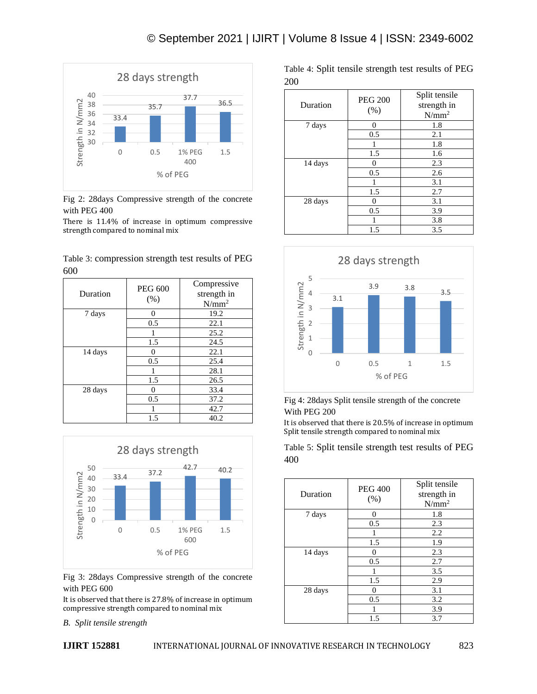

Fig 2: 28days Compressive strength of the concrete with PEG 400

There is 11.4% of increase in optimum compressive strength compared to nominal mix

|     | Table 3: compression strength test results of PEG |  |  |
|-----|---------------------------------------------------|--|--|
| 600 |                                                   |  |  |

| Duration | <b>PEG 600</b><br>$(\%)$ | Compressive<br>strength in<br>$N/mm^2$ |
|----------|--------------------------|----------------------------------------|
| 7 days   | 0                        | 19.2                                   |
|          | 0.5                      | 22.1                                   |
|          |                          | 25.2                                   |
|          | 1.5                      | 24.5                                   |
| 14 days  | 0                        | 22.1                                   |
|          | 0.5                      | 25.4                                   |
|          |                          | 28.1                                   |
|          | 1.5                      | 26.5                                   |
| 28 days  | 0                        | 33.4                                   |
|          | 0.5                      | 37.2                                   |
|          |                          | 42.7                                   |
|          | 1.5                      | 40.2                                   |



Fig 3: 28days Compressive strength of the concrete with PEG 600

It is observed that there is 27.8% of increase in optimum compressive strength compared to nominal mix

*B. Split tensile strength*

Table 4: Split tensile strength test results of PEG 200

| Duration | <b>PEG 200</b><br>(%) | Split tensile<br>strength in<br>$N/mm^2$ |
|----------|-----------------------|------------------------------------------|
| 7 days   | 0                     | 1.8                                      |
|          | 0.5                   | 2.1                                      |
|          | 1                     | 1.8                                      |
|          | 1.5                   | 1.6                                      |
| 14 days  |                       | 2.3                                      |
|          | 0.5                   | 2.6                                      |
|          |                       | 3.1                                      |
|          | 1.5                   | 2.7                                      |
| 28 days  | 0                     | 3.1                                      |
|          | 0.5                   | 3.9                                      |
|          |                       | 3.8                                      |
|          | 1.5                   | 3.5                                      |



Fig 4: 28days Split tensile strength of the concrete With PEG 200

It is observed that there is 20.5% of increase in optimum Split tensile strength compared to nominal mix

Table 5: Split tensile strength test results of PEG 400

| Duration | <b>PEG 400</b><br>$(\%)$ | Split tensile<br>strength in<br>$N/mm^2$ |
|----------|--------------------------|------------------------------------------|
| 7 days   | $\overline{0}$           | 1.8                                      |
|          | 0.5                      | 2.3                                      |
|          |                          | 2.2                                      |
|          | 1.5                      | 1.9                                      |
| 14 days  | 0                        | 2.3                                      |
|          | 0.5                      | 2.7                                      |
|          | 1                        | 3.5                                      |
|          | 1.5                      | 2.9                                      |
| 28 days  | 0                        | 3.1                                      |
|          | 0.5                      | 3.2                                      |
|          |                          | 3.9                                      |
|          | 1.5                      | 3.7                                      |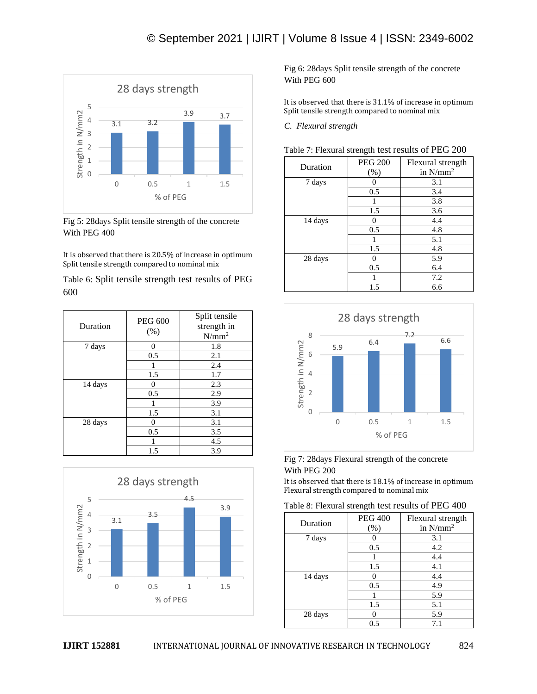

Fig 5: 28days Split tensile strength of the concrete With PEG 400

It is observed that there is 20.5% of increase in optimum Split tensile strength compared to nominal mix

Table 6: Split tensile strength test results of PEG 600

| Duration | <b>PEG 600</b><br>(%) | Split tensile<br>strength in<br>$N/mm^2$ |
|----------|-----------------------|------------------------------------------|
| 7 days   | 0                     | 1.8                                      |
|          | 0.5                   | 2.1                                      |
|          |                       | 2.4                                      |
|          | 1.5                   | 1.7                                      |
| 14 days  | 0                     | 2.3                                      |
|          | 0.5                   | 2.9                                      |
|          |                       | 3.9                                      |
|          | 1.5                   | 3.1                                      |
| 28 days  | 0                     | 3.1                                      |
|          | 0.5                   | 3.5                                      |
|          |                       | 4.5                                      |
|          | 1.5                   | 3.9                                      |



Fig 6: 28days Split tensile strength of the concrete With PEG 600

It is observed that there is 31.1% of increase in optimum Split tensile strength compared to nominal mix

*C. Flexural strength*

| Table 7: Flexural strength test results of PEG 200 |  |
|----------------------------------------------------|--|
|----------------------------------------------------|--|

| Duration | <b>PEG 200</b> | Flexural strength |
|----------|----------------|-------------------|
|          | $(\%)$         | in $N/mm^2$       |
| 7 days   | 0              | 3.1               |
|          | 0.5            | 3.4               |
|          |                | 3.8               |
|          | 1.5            | 3.6               |
| 14 days  | 0              | 4.4               |
|          | 0.5            | 4.8               |
|          | 1              | 5.1               |
|          | 1.5            | 4.8               |
| 28 days  | 0              | 5.9               |
|          | 0.5            | 6.4               |
|          | 1              | 7.2               |
|          | 1.5            | 6.6               |



Fig 7: 28days Flexural strength of the concrete With PEG 200

It is observed that there is 18.1% of increase in optimum Flexural strength compared to nominal mix

| Table 8: Flexural strength test results of PEG 400 |  |  |  |  |
|----------------------------------------------------|--|--|--|--|
|----------------------------------------------------|--|--|--|--|

| Duration | <b>PEG 400</b><br>$(\%)$ | Flexural strength<br>in $N/mm^2$ |
|----------|--------------------------|----------------------------------|
| 7 days   |                          | 3.1                              |
|          | 0.5                      | 4.2                              |
|          |                          | 4.4                              |
|          | 1.5                      | 4.1                              |
| 14 days  | 0                        | 4.4                              |
|          | 0.5                      | 4.9                              |
|          |                          | 5.9                              |
|          | 1.5                      | 5.1                              |
| 28 days  |                          | 5.9                              |
|          | 0.5                      | 7.1                              |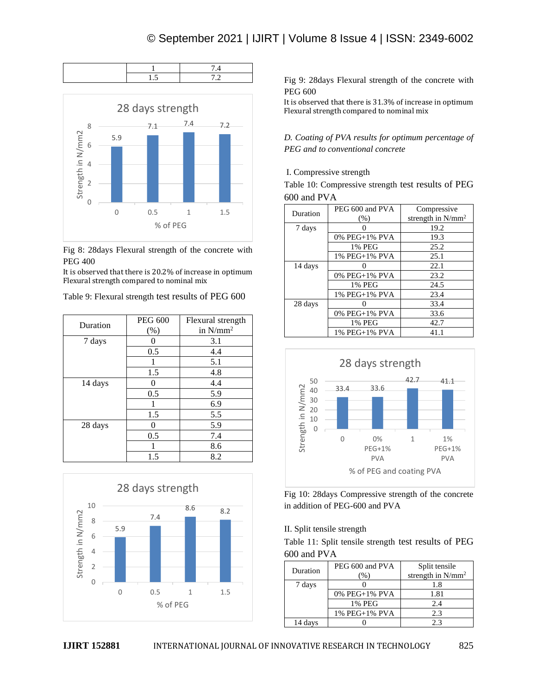



Fig 8: 28days Flexural strength of the concrete with PEG 400

It is observed that there is 20.2% of increase in optimum

| Duration | <b>PEG 600</b> | Flexural strength |
|----------|----------------|-------------------|
|          | (%)            | in $N/mm^2$       |
| 7 days   |                | 3.1               |
|          | 0.5            | 4.4               |
|          |                | 5.1               |
|          | 1.5            | 4.8               |
| 14 days  | 0              | 4.4               |
|          | 0.5            | 5.9               |
|          |                | 6.9               |
|          | 1.5            | 5.5               |
| 28 days  |                | 5.9               |
|          | 0.5            | 7.4               |
|          |                | 8.6               |
|          | 1.5            | 8.2               |



Fig 9: 28days Flexural strength of the concrete with PEG 600

It is observed that there is 31.3% of increase in optimum Flexural strength compared to nominal mix

*D. Coating of PVA results for optimum percentage of PEG and to conventional concrete*

# I. Compressive strength

Table 10: Compressive strength test results of PEG 600 and PVA

| Duration | PEG 600 and PVA | Compressive<br>strength in N/mm <sup>2</sup> |
|----------|-----------------|----------------------------------------------|
|          | (% )            |                                              |
| 7 days   |                 | 19.2                                         |
|          | 0% PEG+1% PVA   | 19.3                                         |
|          | 1% PEG          | 25.2                                         |
|          | 1% PEG+1% PVA   | 25.1                                         |
| 14 days  |                 | 22.1                                         |
|          | 0% PEG+1% PVA   | 23.2                                         |
|          | 1% PEG          | 24.5                                         |
|          | 1% PEG+1% PVA   | 23.4                                         |
| 28 days  |                 | 33.4                                         |
|          | 0% PEG+1% PVA   | 33.6                                         |
|          | 1% PEG          | 42.7                                         |
|          | 1% PEG+1% PVA   | 41.1                                         |



Fig 10: 28days Compressive strength of the concrete in addition of PEG-600 and PVA

II. Split tensile strength

Table 11: Split tensile strength test results of PEG 600 and PVA

| Duration | PEG 600 and PVA | Split tensile<br>strength in $N/mm^2$ |
|----------|-----------------|---------------------------------------|
| 7 days   |                 | 1.8                                   |
|          | 0% PEG+1% PVA   | 1.81                                  |
|          | 1% PEG          | 2.4                                   |
|          | 1% PEG+1% PVA   | 2.3                                   |
| 14 davs  |                 | 23                                    |

Flexural strength compared to nominal mix Table 9: Flexural strength test results of PEG 600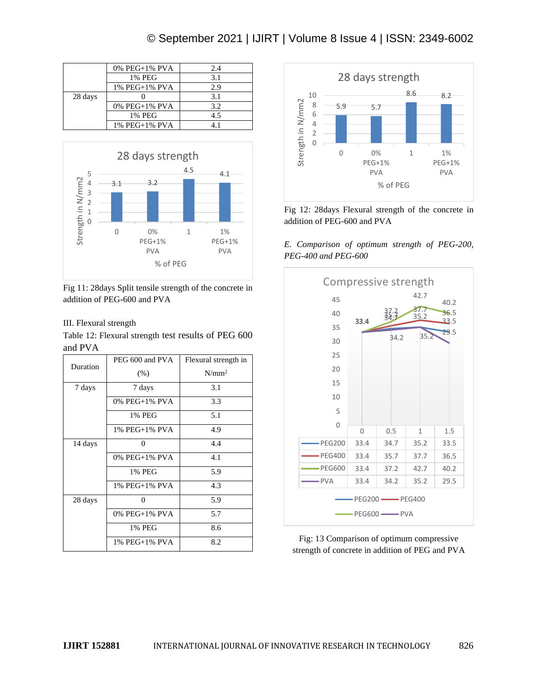# © September 2021 | IJIRT | Volume 8 Issue 4 | ISSN: 2349-6002

|         | 0% PEG+1% PVA | 2.4          |
|---------|---------------|--------------|
|         | 1% PEG        | 3.1          |
|         | 1% PEG+1% PVA | 2.9          |
| 28 days |               | 3.1          |
|         | 0% PEG+1% PVA | 3.2          |
|         | 1% PEG        | 4.5          |
|         | 1% PEG+1% PVA | $\mathbf{1}$ |



Fig 11: 28days Split tensile strength of the concrete in addition of PEG-600 and PVA

## III. Flexural strength

Table 12: Flexural strength test results of PEG 600 and PVA

| Duration | PEG 600 and PVA      | Flexural strength in |
|----------|----------------------|----------------------|
|          | (% )                 | $N/mm^2$             |
| 7 days   | 7 days               | 3.1                  |
|          | $0\%$ PEG+1% PVA     | 3.3                  |
|          | 1% PEG               | 5.1                  |
|          | 1% PEG+1% PVA        | 4.9                  |
| 14 days  | 0                    | 4.4                  |
|          | $0\%$ PEG+1% PVA     | 4.1                  |
|          | 1% PEG               | 5.9                  |
|          | $1\%$ PEG $+1\%$ PVA | 4.3                  |
| 28 days  | 0                    | 5.9                  |
|          | 0% PEG+1% PVA        | 5.7                  |
|          | 1% PEG               | 8.6                  |
|          | 1% PEG+1% PVA        | 8.2                  |



Fig 12: 28days Flexural strength of the concrete in addition of PEG-600 and PVA

*E. Comparison of optimum strength of PEG-200, PEG-400 and PEG-600*



Fig: 13 Comparison of optimum compressive strength of concrete in addition of PEG and PVA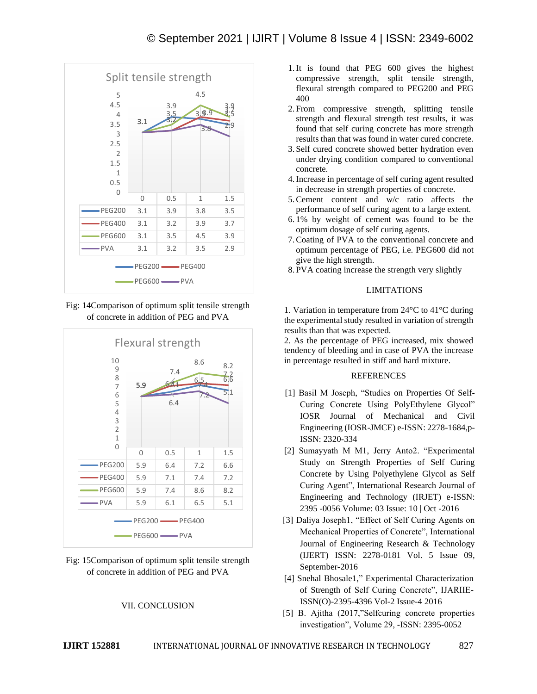

Fig: 14Comparison of optimum split tensile strength of concrete in addition of PEG and PVA



Fig: 15Comparison of optimum split tensile strength of concrete in addition of PEG and PVA

#### VII. CONCLUSION

- 1.It is found that PEG 600 gives the highest compressive strength, split tensile strength, flexural strength compared to PEG200 and PEG 400
- 2. From compressive strength, splitting tensile strength and flexural strength test results, it was found that self curing concrete has more strength results than that was found in water cured concrete.
- 3. Self cured concrete showed better hydration even under drying condition compared to conventional concrete.
- 4.Increase in percentage of self curing agent resulted in decrease in strength properties of concrete.
- 5.Cement content and w/c ratio affects the performance of self curing agent to a large extent.
- 6. 1% by weight of cement was found to be the optimum dosage of self curing agents.
- 7.Coating of PVA to the conventional concrete and optimum percentage of PEG, i.e. PEG600 did not give the high strength.
- 8. PVA coating increase the strength very slightly

#### LIMITATIONS

1. Variation in temperature from 24°C to 41°C during the experimental study resulted in variation of strength results than that was expected.

2. As the percentage of PEG increased, mix showed tendency of bleeding and in case of PVA the increase in percentage resulted in stiff and hard mixture.

## REFERENCES

- [1] Basil M Joseph, "Studies on Properties Of Self-Curing Concrete Using PolyEthylene Glycol" IOSR Journal of Mechanical and Civil Engineering (IOSR-JMCE) e-ISSN: 2278-1684,p-ISSN: 2320-334
- [2] Sumayyath M M1, Jerry Anto2. "Experimental Study on Strength Properties of Self Curing Concrete by Using Polyethylene Glycol as Self Curing Agent", International Research Journal of Engineering and Technology (IRJET) e-ISSN: 2395 -0056 Volume: 03 Issue: 10 | Oct -2016
- [3] Daliya Joseph1, "Effect of Self Curing Agents on Mechanical Properties of Concrete", International Journal of Engineering Research & Technology (IJERT) ISSN: 2278-0181 Vol. 5 Issue 09, September-2016
- [4] Snehal Bhosale1," Experimental Characterization of Strength of Self Curing Concrete", IJARIIE-ISSN(O)-2395-4396 Vol-2 Issue-4 2016
- [5] B. Ajitha (2017,"Selfcuring concrete properties investigation", Volume 29, -ISSN: 2395-0052